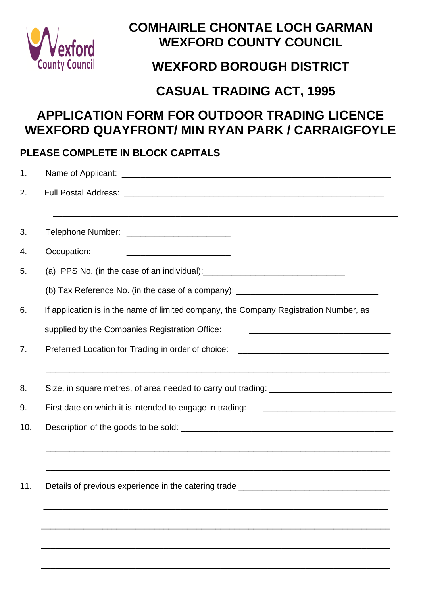

# **COMHAIRLE CHONTAE LOCH GARMAN WEXFORD COUNTY COUNCIL**

# **WEXFORD BOROUGH DISTRICT**

## **CASUAL TRADING ACT, 1995**

# **APPLICATION FORM FOR OUTDOOR TRADING LICENCE WEXFORD QUAYFRONT/ MIN RYAN PARK / CARRAIGFOYLE**

## **PLEASE COMPLETE IN BLOCK CAPITALS**

| 1.  |                                                                                                                                                                                                                                                                               |
|-----|-------------------------------------------------------------------------------------------------------------------------------------------------------------------------------------------------------------------------------------------------------------------------------|
| 2.  |                                                                                                                                                                                                                                                                               |
| 3.  | Telephone Number: __________________________                                                                                                                                                                                                                                  |
| 4.  | Occupation:                                                                                                                                                                                                                                                                   |
| 5.  | (a) PPS No. (in the case of an individual): $\frac{1}{2}$ [10] $\frac{1}{2}$ [10] $\frac{1}{2}$ [10] $\frac{1}{2}$ [10] $\frac{1}{2}$ [10] $\frac{1}{2}$ [10] $\frac{1}{2}$ [10] $\frac{1}{2}$ [10] $\frac{1}{2}$ [10] $\frac{1}{2}$ [10] $\frac{1}{2}$ [10] $\frac{1}{2}$ [1 |
|     | (b) Tax Reference No. (in the case of a company): _______________________________                                                                                                                                                                                             |
| 6.  | If application is in the name of limited company, the Company Registration Number, as                                                                                                                                                                                         |
|     | supplied by the Companies Registration Office:                                                                                                                                                                                                                                |
| 7.  | Preferred Location for Trading in order of choice:                                                                                                                                                                                                                            |
|     | ,我们也不能在这里的人,我们也不能在这里的人,我们也不能在这里的人,我们也不能在这里的人,我们也不能在这里的人,我们也不能在这里的人,我们也不能在这里的人,我们也                                                                                                                                                                                             |
| 8.  |                                                                                                                                                                                                                                                                               |
| 9.  | First date on which it is intended to engage in trading:                                                                                                                                                                                                                      |
| 10. |                                                                                                                                                                                                                                                                               |
|     |                                                                                                                                                                                                                                                                               |
| 11. | Details of previous experience in the catering trade ___________________________                                                                                                                                                                                              |
|     |                                                                                                                                                                                                                                                                               |
|     |                                                                                                                                                                                                                                                                               |
|     |                                                                                                                                                                                                                                                                               |
|     |                                                                                                                                                                                                                                                                               |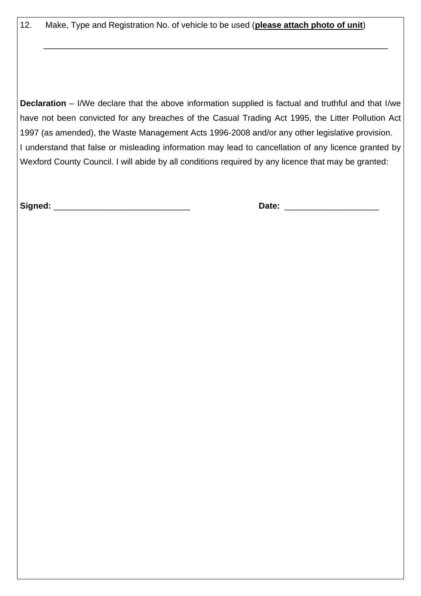12. Make, Type and Registration No. of vehicle to be used (**please attach photo of unit**)

 $\overline{\phantom{a}}$  , and the contribution of the contribution of the contribution of the contribution of the contribution of the contribution of the contribution of the contribution of the contribution of the contribution of the

**Declaration** – I/We declare that the above information supplied is factual and truthful and that I/we have not been convicted for any breaches of the Casual Trading Act 1995, the Litter Pollution Act 1997 (as amended), the Waste Management Acts 1996-2008 and/or any other legislative provision. I understand that false or misleading information may lead to cancellation of any licence granted by Wexford County Council. I will abide by all conditions required by any licence that may be granted:

**Signed:** \_\_\_\_\_\_\_\_\_\_\_\_\_\_\_\_\_\_\_\_\_\_\_\_\_\_\_\_\_ **Date:** \_\_\_\_\_\_\_\_\_\_\_\_\_\_\_\_\_\_\_\_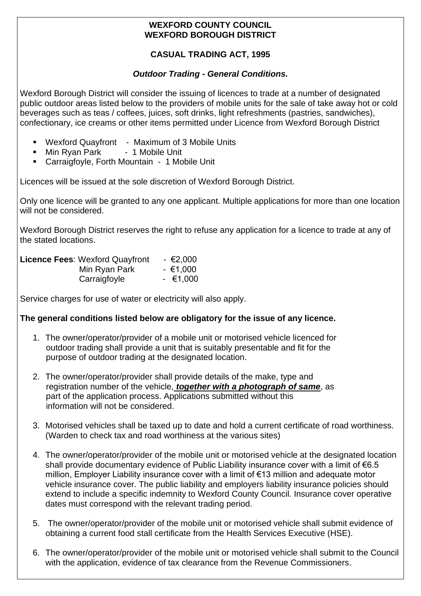### **WEXFORD COUNTY COUNCIL WEXFORD BOROUGH DISTRICT**

### **CASUAL TRADING ACT, 1995**

### *Outdoor Trading - General Conditions.*

Wexford Borough District will consider the issuing of licences to trade at a number of designated public outdoor areas listed below to the providers of mobile units for the sale of take away hot or cold beverages such as teas / coffees, juices, soft drinks, light refreshments (pastries, sandwiches), confectionary, ice creams or other items permitted under Licence from Wexford Borough District

- Wexford Quayfront Maximum of 3 Mobile Units
- Min Ryan Park 1 Mobile Unit
- Carraigfoyle, Forth Mountain 1 Mobile Unit

Licences will be issued at the sole discretion of Wexford Borough District.

Only one licence will be granted to any one applicant. Multiple applications for more than one location will not be considered.

Wexford Borough District reserves the right to refuse any application for a licence to trade at any of the stated locations.

| <b>Licence Fees: Wexford Quayfront</b> | $-€2,000$ |
|----------------------------------------|-----------|
| Min Ryan Park                          | $-€1,000$ |
| Carraigfoyle                           | $-€1,000$ |

Service charges for use of water or electricity will also apply.

### **The general conditions listed below are obligatory for the issue of any licence.**

- 1. The owner/operator/provider of a mobile unit or motorised vehicle licenced for outdoor trading shall provide a unit that is suitably presentable and fit for the purpose of outdoor trading at the designated location.
- 2. The owner/operator/provider shall provide details of the make, type and registration number of the vehicle, *together with a photograph of same*, as part of the application process. Applications submitted without this information will not be considered.
- 3. Motorised vehicles shall be taxed up to date and hold a current certificate of road worthiness. (Warden to check tax and road worthiness at the various sites)
- 4. The owner/operator/provider of the mobile unit or motorised vehicle at the designated location shall provide documentary evidence of Public Liability insurance cover with a limit of €6.5 million, Employer Liability insurance cover with a limit of €13 million and adequate motor vehicle insurance cover. The public liability and employers liability insurance policies should extend to include a specific indemnity to Wexford County Council. Insurance cover operative dates must correspond with the relevant trading period.
- 5. The owner/operator/provider of the mobile unit or motorised vehicle shall submit evidence of obtaining a current food stall certificate from the Health Services Executive (HSE).
- 6. The owner/operator/provider of the mobile unit or motorised vehicle shall submit to the Council with the application, evidence of tax clearance from the Revenue Commissioners.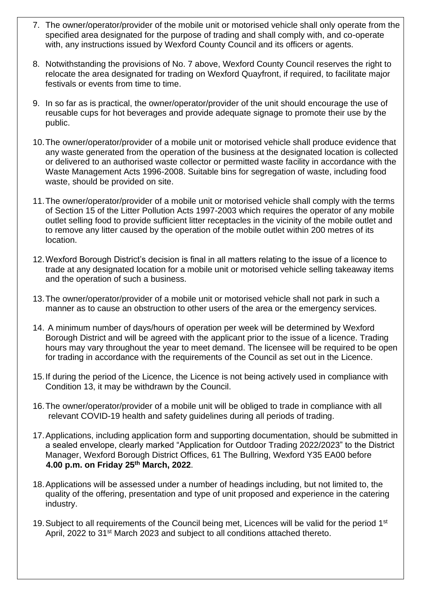- 7. The owner/operator/provider of the mobile unit or motorised vehicle shall only operate from the specified area designated for the purpose of trading and shall comply with, and co-operate with, any instructions issued by Wexford County Council and its officers or agents.
- 8. Notwithstanding the provisions of No. 7 above, Wexford County Council reserves the right to relocate the area designated for trading on Wexford Quayfront, if required, to facilitate major festivals or events from time to time.
- 9. In so far as is practical, the owner/operator/provider of the unit should encourage the use of reusable cups for hot beverages and provide adequate signage to promote their use by the public.
- 10.The owner/operator/provider of a mobile unit or motorised vehicle shall produce evidence that any waste generated from the operation of the business at the designated location is collected or delivered to an authorised waste collector or permitted waste facility in accordance with the Waste Management Acts 1996-2008. Suitable bins for segregation of waste, including food waste, should be provided on site.
- 11.The owner/operator/provider of a mobile unit or motorised vehicle shall comply with the terms of Section 15 of the Litter Pollution Acts 1997-2003 which requires the operator of any mobile outlet selling food to provide sufficient litter receptacles in the vicinity of the mobile outlet and to remove any litter caused by the operation of the mobile outlet within 200 metres of its location.
- 12.Wexford Borough District's decision is final in all matters relating to the issue of a licence to trade at any designated location for a mobile unit or motorised vehicle selling takeaway items and the operation of such a business.
- 13.The owner/operator/provider of a mobile unit or motorised vehicle shall not park in such a manner as to cause an obstruction to other users of the area or the emergency services.
- 14. A minimum number of days/hours of operation per week will be determined by Wexford Borough District and will be agreed with the applicant prior to the issue of a licence. Trading hours may vary throughout the year to meet demand. The licensee will be required to be open for trading in accordance with the requirements of the Council as set out in the Licence.
- 15.If during the period of the Licence, the Licence is not being actively used in compliance with Condition 13, it may be withdrawn by the Council.
- 16.The owner/operator/provider of a mobile unit will be obliged to trade in compliance with all relevant COVID-19 health and safety guidelines during all periods of trading.
- 17.Applications, including application form and supporting documentation, should be submitted in a sealed envelope, clearly marked "Application for Outdoor Trading 2022/2023" to the District Manager, Wexford Borough District Offices, 61 The Bullring, Wexford Y35 EA00 before **4.00 p.m. on Friday 25th March, 2022**.
- 18.Applications will be assessed under a number of headings including, but not limited to, the quality of the offering, presentation and type of unit proposed and experience in the catering industry.
- 19. Subject to all requirements of the Council being met, Licences will be valid for the period 1<sup>st</sup> April, 2022 to 31<sup>st</sup> March 2023 and subject to all conditions attached thereto.